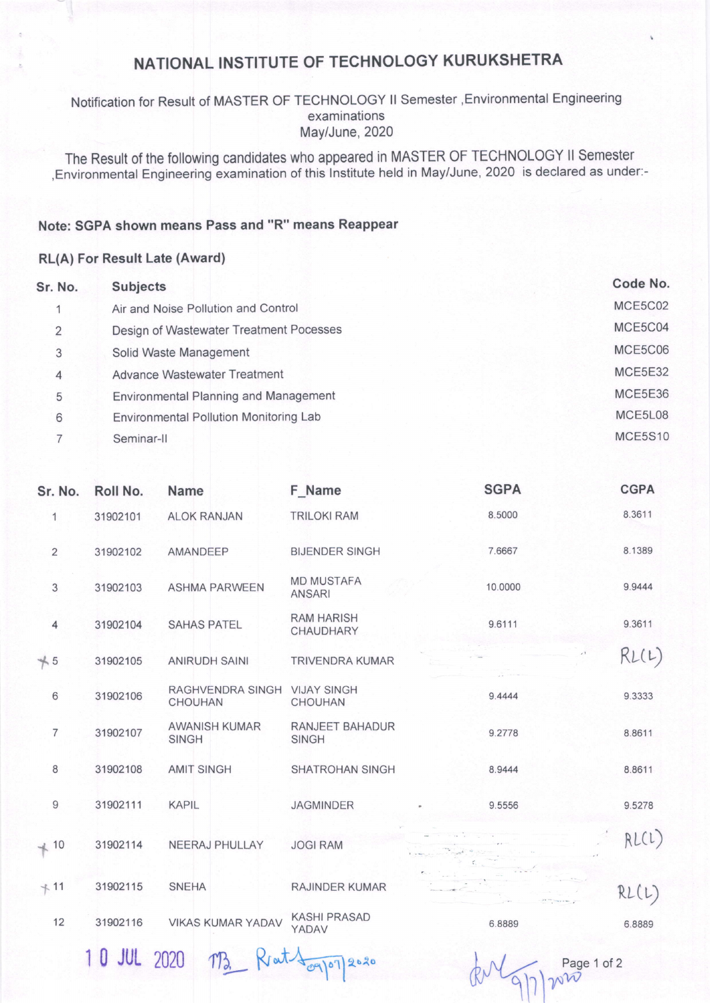# NATIONAL INSTITUTE OF TEGHNOLOGY KURUKSHETRA

### Notification for Result of MASTER OF TECHNOLOGY ll Semester ,Environmental Engineering examinations May/June, 2020

The Result of the following candidates who appeared in MASTER OF TECHNOLOGY ll Semester ,Environmental Engineering examination of this lnstitute held in May/June, 2020 is declared as under:-

#### Note: SGPA shown means Pass and "R" means Reappear

#### RL(A) For Result Late (Award)

| Sr. No. | <b>Subjects</b>                              | Code No. |
|---------|----------------------------------------------|----------|
|         | Air and Noise Pollution and Control          | MCE5C02  |
| 2       | Design of Wastewater Treatment Pocesses      | MCE5C04  |
| 3       | Solid Waste Management                       | MCE5C06  |
| 4       | <b>Advance Wastewater Treatment</b>          | MCE5E32  |
| 5       | <b>Environmental Planning and Management</b> | MCE5E36  |
| 6       | Environmental Pollution Monitoring Lab       | MCE5L08  |
|         | Seminar-II                                   | MCE5S10  |

| Sr. No.         | Roll No. | <b>Name</b>                                    | F_Name                             | <b>SGPA</b> | <b>CGPA</b> |
|-----------------|----------|------------------------------------------------|------------------------------------|-------------|-------------|
| 1               | 31902101 | <b>ALOK RANJAN</b>                             | <b>TRILOKI RAM</b>                 | 8.5000      | 8.3611      |
| $\overline{2}$  | 31902102 | AMANDEEP                                       | <b>BIJENDER SINGH</b>              | 7.6667      | 8.1389      |
| 3               | 31902103 | <b>ASHMA PARWEEN</b>                           | <b>MD MUSTAFA</b><br><b>ANSARI</b> | 10.0000     | 9.9444      |
| $\overline{4}$  | 31902104 | <b>SAHAS PATEL</b>                             | <b>RAM HARISH</b><br>CHAUDHARY     | 9.6111      | 9.3611      |
| $+5$            | 31902105 | <b>ANIRUDH SAINI</b>                           | <b>TRIVENDRA KUMAR</b>             |             | RL(L)       |
| $6\phantom{1}6$ | 31902106 | RAGHVENDRA SINGH VIJAY SINGH<br><b>CHOUHAN</b> | <b>CHOUHAN</b>                     | 9.4444      | 9.3333      |
| $\overline{7}$  | 31902107 | <b>AWANISH KUMAR</b><br><b>SINGH</b>           | RANJEET BAHADUR<br><b>SINGH</b>    | 9.2778      | 8.8611      |
| 8               | 31902108 | <b>AMIT SINGH</b>                              | <b>SHATROHAN SINGH</b>             | 8.9444      | 8.8611      |
| $\overline{9}$  | 31902111 | <b>KAPIL</b>                                   | <b>JAGMINDER</b>                   | 9.5556      | 9.5278      |
| $+ 10$          | 31902114 | NEERAJ PHULLAY                                 | <b>JOGI RAM</b>                    |             | RL(L)       |
| $+11$           | 31902115 | <b>SNEHA</b>                                   | RAJINDER KUMAR                     |             | RL(L)       |
| 12              | 31902116 | <b>VIKAS KUMAR YADAV</b>                       | <b>KASHI PRASAD</b><br>YADAV       | 6.8889      | 6.8889      |
|                 |          |                                                |                                    |             |             |

 $10$  JUL 2020  $\pi$ <sub>3</sub>  $R \text{at}$   $\frac{1}{\sqrt{2}}$   $\pi$   $\frac{Page10f2}{\sqrt{2}}$